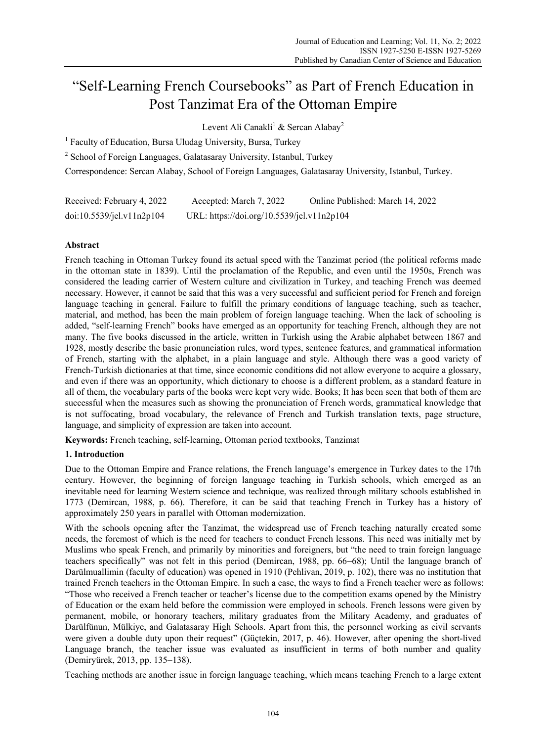# "Self-Learning French Coursebooks" as Part of French Education in Post Tanzimat Era of the Ottoman Empire

Levent Ali Canakli<sup>1</sup> & Sercan Alabay<sup>2</sup>

<sup>1</sup> Faculty of Education, Bursa Uludag University, Bursa, Turkey

<sup>2</sup> School of Foreign Languages, Galatasaray University, Istanbul, Turkey

Correspondence: Sercan Alabay, School of Foreign Languages, Galatasaray University, Istanbul, Turkey.

| Received: February 4, 2022 | Accepted: March 7, 2022                    | Online Published: March 14, 2022 |
|----------------------------|--------------------------------------------|----------------------------------|
| doi:10.5539/jel.v11n2p104  | URL: https://doi.org/10.5539/jel.v11n2p104 |                                  |

# **Abstract**

French teaching in Ottoman Turkey found its actual speed with the Tanzimat period (the political reforms made in the ottoman state in 1839). Until the proclamation of the Republic, and even until the 1950s, French was considered the leading carrier of Western culture and civilization in Turkey, and teaching French was deemed necessary. However, it cannot be said that this was a very successful and sufficient period for French and foreign language teaching in general. Failure to fulfill the primary conditions of language teaching, such as teacher, material, and method, has been the main problem of foreign language teaching. When the lack of schooling is added, "self-learning French" books have emerged as an opportunity for teaching French, although they are not many. The five books discussed in the article, written in Turkish using the Arabic alphabet between 1867 and 1928, mostly describe the basic pronunciation rules, word types, sentence features, and grammatical information of French, starting with the alphabet, in a plain language and style. Although there was a good variety of French-Turkish dictionaries at that time, since economic conditions did not allow everyone to acquire a glossary, and even if there was an opportunity, which dictionary to choose is a different problem, as a standard feature in all of them, the vocabulary parts of the books were kept very wide. Books; It has been seen that both of them are successful when the measures such as showing the pronunciation of French words, grammatical knowledge that is not suffocating, broad vocabulary, the relevance of French and Turkish translation texts, page structure, language, and simplicity of expression are taken into account.

**Keywords:** French teaching, self-learning, Ottoman period textbooks, Tanzimat

# **1. Introduction**

Due to the Ottoman Empire and France relations, the French language's emergence in Turkey dates to the 17th century. However, the beginning of foreign language teaching in Turkish schools, which emerged as an inevitable need for learning Western science and technique, was realized through military schools established in 1773 (Demircan, 1988, p. 66). Therefore, it can be said that teaching French in Turkey has a history of approximately 250 years in parallel with Ottoman modernization.

With the schools opening after the Tanzimat, the widespread use of French teaching naturally created some needs, the foremost of which is the need for teachers to conduct French lessons. This need was initially met by Muslims who speak French, and primarily by minorities and foreigners, but "the need to train foreign language teachers specifically" was not felt in this period (Demircan, 1988, pp. 66−68); Until the language branch of Darülmuallimin (faculty of education) was opened in 1910 (Pehlivan, 2019, p. 102), there was no institution that trained French teachers in the Ottoman Empire. In such a case, the ways to find a French teacher were as follows: "Those who received a French teacher or teacher's license due to the competition exams opened by the Ministry of Education or the exam held before the commission were employed in schools. French lessons were given by permanent, mobile, or honorary teachers, military graduates from the Military Academy, and graduates of Darülfünun, Mülkiye, and Galatasaray High Schools. Apart from this, the personnel working as civil servants were given a double duty upon their request" (Güçtekin, 2017, p. 46). However, after opening the short-lived Language branch, the teacher issue was evaluated as insufficient in terms of both number and quality (Demiryürek, 2013, pp. 135−138).

Teaching methods are another issue in foreign language teaching, which means teaching French to a large extent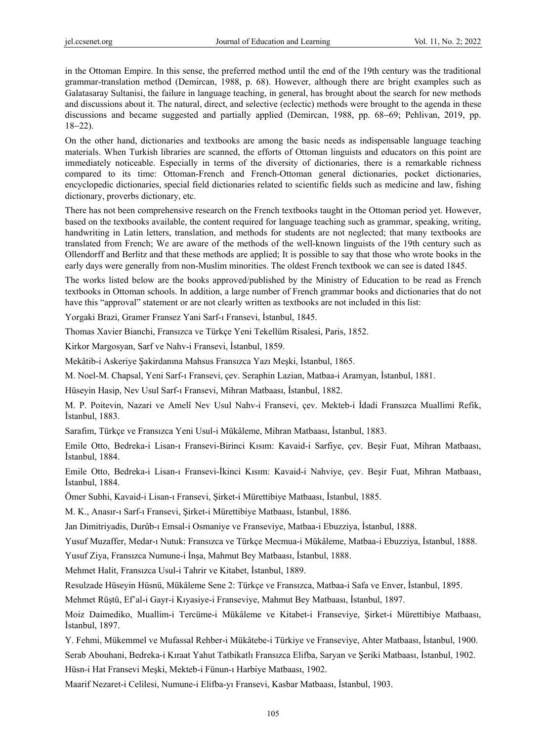in the Ottoman Empire. In this sense, the preferred method until the end of the 19th century was the traditional grammar-translation method (Demircan, 1988, p. 68). However, although there are bright examples such as Galatasaray Sultanisi, the failure in language teaching, in general, has brought about the search for new methods and discussions about it. The natural, direct, and selective (eclectic) methods were brought to the agenda in these discussions and became suggested and partially applied (Demircan, 1988, pp. 68−69; Pehlivan, 2019, pp. 18−22).

On the other hand, dictionaries and textbooks are among the basic needs as indispensable language teaching materials. When Turkish libraries are scanned, the efforts of Ottoman linguists and educators on this point are immediately noticeable. Especially in terms of the diversity of dictionaries, there is a remarkable richness compared to its time: Ottoman-French and French-Ottoman general dictionaries, pocket dictionaries, encyclopedic dictionaries, special field dictionaries related to scientific fields such as medicine and law, fishing dictionary, proverbs dictionary, etc.

There has not been comprehensive research on the French textbooks taught in the Ottoman period yet. However, based on the textbooks available, the content required for language teaching such as grammar, speaking, writing, handwriting in Latin letters, translation, and methods for students are not neglected; that many textbooks are translated from French; We are aware of the methods of the well-known linguists of the 19th century such as Ollendorff and Berlitz and that these methods are applied; It is possible to say that those who wrote books in the early days were generally from non-Muslim minorities. The oldest French textbook we can see is dated 1845.

The works listed below are the books approved/published by the Ministry of Education to be read as French textbooks in Ottoman schools. In addition, a large number of French grammar books and dictionaries that do not have this "approval" statement or are not clearly written as textbooks are not included in this list:

Yorgaki Brazi, Gramer Fransez Yani Sarf-ı Fransevi, İstanbul, 1845.

Thomas Xavier Bianchi, Fransızca ve Türkçe Yeni Tekellüm Risalesi, Paris, 1852.

Kirkor Margosyan, Sarf ve Nahv-i Fransevi, İstanbul, 1859.

Mekâtib-i Askeriye Şakirdanına Mahsus Fransızca Yazı Meşki, İstanbul, 1865.

M. Noel-M. Chapsal, Yeni Sarf-ı Fransevi, çev. Seraphin Lazian, Matbaa-i Aramyan, İstanbul, 1881.

Hüseyin Hasip, Nev Usul Sarf-ı Fransevi, Mihran Matbaası, İstanbul, 1882.

M. P. Poitevin, Nazari ve Amelî Nev Usul Nahv-i Fransevi, çev. Mekteb-i İdadi Fransızca Muallimi Refik, İstanbul, 1883.

Sarafim, Türkçe ve Fransızca Yeni Usul-i Mükâleme, Mihran Matbaası, İstanbul, 1883.

Emile Otto, Bedreka-i Lisan-ı Fransevi-Birinci Kısım: Kavaid-i Sarfiye, çev. Beşir Fuat, Mihran Matbaası, İstanbul, 1884.

Emile Otto, Bedreka-i Lisan-ı Fransevi-İkinci Kısım: Kavaid-i Nahviye, çev. Beşir Fuat, Mihran Matbaası, İstanbul, 1884.

Ömer Subhi, Kavaid-i Lisan-ı Fransevi, Şirket-i Mürettibiye Matbaası, İstanbul, 1885.

M. K., Anasır-ı Sarf-ı Fransevi, Şirket-i Mürettibiye Matbaası, İstanbul, 1886.

Jan Dimitriyadis, Durûb-ı Emsal-i Osmaniye ve Franseviye, Matbaa-i Ebuzziya, İstanbul, 1888.

Yusuf Muzaffer, Medar-ı Nutuk: Fransızca ve Türkçe Mecmua-i Mükâleme, Matbaa-i Ebuzziya, İstanbul, 1888.

Yusuf Ziya, Fransızca Numune-i İnşa, Mahmut Bey Matbaası, İstanbul, 1888.

Mehmet Halit, Fransızca Usul-i Tahrir ve Kitabet, İstanbul, 1889.

Resulzade Hüseyin Hüsnü, Mükâleme Sene 2: Türkçe ve Fransızca, Matbaa-i Safa ve Enver, İstanbul, 1895.

Mehmet Rüştü, Ef'al-i Gayr-i Kıyasiye-i Franseviye, Mahmut Bey Matbaası, İstanbul, 1897.

Moiz Daimediko, Muallim-i Tercüme-i Mükâleme ve Kitabet-i Franseviye, Şirket-i Mürettibiye Matbaası, İstanbul, 1897.

Y. Fehmi, Mükemmel ve Mufassal Rehber-i Mükâtebe-i Türkiye ve Franseviye, Ahter Matbaası, İstanbul, 1900. Serab Abouhani, Bedreka-i Kıraat Yahut Tatbikatlı Fransızca Elifba, Saryan ve Şeriki Matbaası, İstanbul, 1902.

Hüsn-i Hat Fransevi Meşki, Mekteb-i Fünun-ı Harbiye Matbaası, 1902.

Maarif Nezaret-i Celilesi, Numune-i Elifba-yı Fransevi, Kasbar Matbaası, İstanbul, 1903.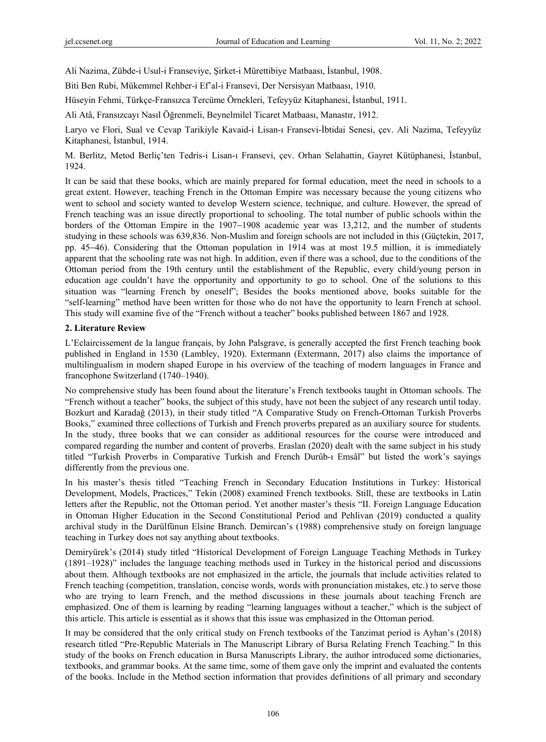Ali Nazima, Zübde-i Usul-i Franseviye, Şirket-i Mürettibiye Matbaası, İstanbul, 1908.

Biti Ben Rubi, Mükemmel Rehber-i Ef'al-i Fransevi, Der Nersisyan Matbaası, 1910.

Hüseyin Fehmi, Türkçe-Fransızca Tercüme Örnekleri, Tefeyyüz Kitaphanesi, İstanbul, 1911.

Ali Atâ, Fransızcayı Nasıl Öğrenmeli, Beynelmilel Ticaret Matbaası, Manastır, 1912.

Laryo ve Flori, Sual ve Cevap Tarikiyle Kavaid-i Lisan-ı Fransevi-İbtidai Senesi, çev. Ali Nazima, Tefeyyüz Kitaphanesi, İstanbul, 1914.

M. Berlitz, Metod Berliç'ten Tedris-i Lisan-ı Fransevi, çev. Orhan Selahattin, Gayret Kütüphanesi, İstanbul, 1924.

It can be said that these books, which are mainly prepared for formal education, meet the need in schools to a great extent. However, teaching French in the Ottoman Empire was necessary because the young citizens who went to school and society wanted to develop Western science, technique, and culture. However, the spread of French teaching was an issue directly proportional to schooling. The total number of public schools within the borders of the Ottoman Empire in the 1907−1908 academic year was 13,212, and the number of students studying in these schools was 639,836. Non-Muslim and foreign schools are not included in this (Güçtekin, 2017, pp. 45−46). Considering that the Ottoman population in 1914 was at most 19.5 million, it is immediately apparent that the schooling rate was not high. In addition, even if there was a school, due to the conditions of the Ottoman period from the 19th century until the establishment of the Republic, every child/young person in education age couldn't have the opportunity and opportunity to go to school. One of the solutions to this situation was "learning French by oneself"; Besides the books mentioned above, books suitable for the "self-learning" method have been written for those who do not have the opportunity to learn French at school. This study will examine five of the "French without a teacher" books published between 1867 and 1928.

### **2. Literature Review**

L'Eclaircissement de la langue français, by John Palsgrave, is generally accepted the first French teaching book published in England in 1530 (Lambley, 1920). Extermann (Extermann, 2017) also claims the importance of multilingualism in modern shaped Europe in his overview of the teaching of modern languages in France and francophone Switzerland (1740–1940).

No comprehensive study has been found about the literature's French textbooks taught in Ottoman schools. The "French without a teacher" books, the subject of this study, have not been the subject of any research until today. Bozkurt and Karadağ (2013), in their study titled "A Comparative Study on French-Ottoman Turkish Proverbs Books," examined three collections of Turkish and French proverbs prepared as an auxiliary source for students. In the study, three books that we can consider as additional resources for the course were introduced and compared regarding the number and content of proverbs. Eraslan (2020) dealt with the same subject in his study titled "Turkish Proverbs in Comparative Turkish and French Durûb-ı Emsâl" but listed the work's sayings differently from the previous one.

In his master's thesis titled "Teaching French in Secondary Education Institutions in Turkey: Historical Development, Models, Practices," Tekin (2008) examined French textbooks. Still, these are textbooks in Latin letters after the Republic, not the Ottoman period. Yet another master's thesis "II. Foreign Language Education in Ottoman Higher Education in the Second Constitutional Period and Pehlivan (2019) conducted a quality archival study in the Darülfünun Elsine Branch. Demircan's (1988) comprehensive study on foreign language teaching in Turkey does not say anything about textbooks.

Demiryürek's (2014) study titled "Historical Development of Foreign Language Teaching Methods in Turkey (1891–1928)" includes the language teaching methods used in Turkey in the historical period and discussions about them. Although textbooks are not emphasized in the article, the journals that include activities related to French teaching (competition, translation, concise words, words with pronunciation mistakes, etc.) to serve those who are trying to learn French, and the method discussions in these journals about teaching French are emphasized. One of them is learning by reading "learning languages without a teacher," which is the subject of this article. This article is essential as it shows that this issue was emphasized in the Ottoman period.

It may be considered that the only critical study on French textbooks of the Tanzimat period is Ayhan's (2018) research titled "Pre-Republic Materials in The Manuscript Library of Bursa Relating French Teaching." In this study of the books on French education in Bursa Manuscripts Library, the author introduced some dictionaries, textbooks, and grammar books. At the same time, some of them gave only the imprint and evaluated the contents of the books. Include in the Method section information that provides definitions of all primary and secondary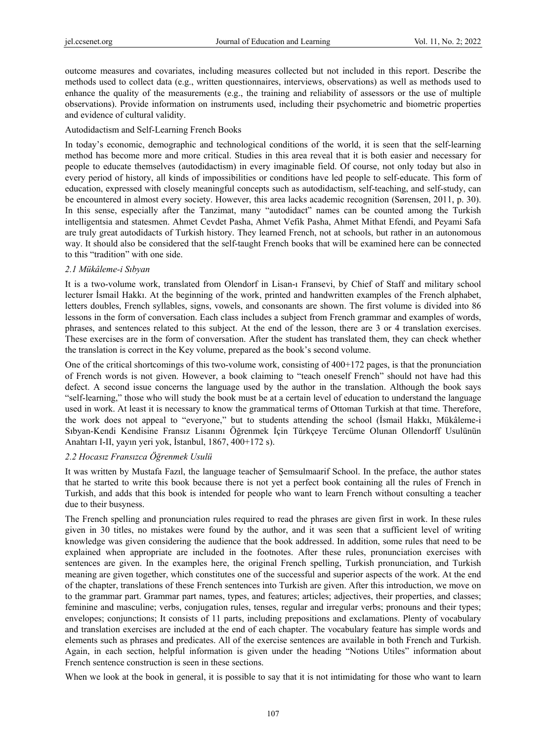outcome measures and covariates, including measures collected but not included in this report. Describe the methods used to collect data (e.g., written questionnaires, interviews, observations) as well as methods used to enhance the quality of the measurements (e.g., the training and reliability of assessors or the use of multiple observations). Provide information on instruments used, including their psychometric and biometric properties and evidence of cultural validity.

#### Autodidactism and Self-Learning French Books

In today's economic, demographic and technological conditions of the world, it is seen that the self-learning method has become more and more critical. Studies in this area reveal that it is both easier and necessary for people to educate themselves (autodidactism) in every imaginable field. Of course, not only today but also in every period of history, all kinds of impossibilities or conditions have led people to self-educate. This form of education, expressed with closely meaningful concepts such as autodidactism, self-teaching, and self-study, can be encountered in almost every society. However, this area lacks academic recognition (Sørensen, 2011, p. 30). In this sense, especially after the Tanzimat, many "autodidact" names can be counted among the Turkish intelligentsia and statesmen. Ahmet Cevdet Pasha, Ahmet Vefik Pasha, Ahmet Mithat Efendi, and Peyami Safa are truly great autodidacts of Turkish history. They learned French, not at schools, but rather in an autonomous way. It should also be considered that the self-taught French books that will be examined here can be connected to this "tradition" with one side.

#### *2.1 Mükâleme-i Sıbyan*

It is a two-volume work, translated from Olendorf in Lisan-ı Fransevi, by Chief of Staff and military school lecturer İsmail Hakkı. At the beginning of the work, printed and handwritten examples of the French alphabet, letters doubles, French syllables, signs, vowels, and consonants are shown. The first volume is divided into 86 lessons in the form of conversation. Each class includes a subject from French grammar and examples of words, phrases, and sentences related to this subject. At the end of the lesson, there are 3 or 4 translation exercises. These exercises are in the form of conversation. After the student has translated them, they can check whether the translation is correct in the Key volume, prepared as the book's second volume.

One of the critical shortcomings of this two-volume work, consisting of 400+172 pages, is that the pronunciation of French words is not given. However, a book claiming to "teach oneself French" should not have had this defect. A second issue concerns the language used by the author in the translation. Although the book says "self-learning," those who will study the book must be at a certain level of education to understand the language used in work. At least it is necessary to know the grammatical terms of Ottoman Turkish at that time. Therefore, the work does not appeal to "everyone," but to students attending the school (İsmail Hakkı, Mükâleme-i Sıbyan-Kendi Kendisine Fransız Lisanını Öğrenmek İçin Türkçeye Tercüme Olunan Ollendorff Usulünün Anahtarı I-II, yayın yeri yok, İstanbul, 1867, 400+172 s).

# *2.2 Hocasız Fransızca Öğrenmek Usulü*

It was written by Mustafa Fazıl, the language teacher of Şemsulmaarif School. In the preface, the author states that he started to write this book because there is not yet a perfect book containing all the rules of French in Turkish, and adds that this book is intended for people who want to learn French without consulting a teacher due to their busyness.

The French spelling and pronunciation rules required to read the phrases are given first in work. In these rules given in 30 titles, no mistakes were found by the author, and it was seen that a sufficient level of writing knowledge was given considering the audience that the book addressed. In addition, some rules that need to be explained when appropriate are included in the footnotes. After these rules, pronunciation exercises with sentences are given. In the examples here, the original French spelling, Turkish pronunciation, and Turkish meaning are given together, which constitutes one of the successful and superior aspects of the work. At the end of the chapter, translations of these French sentences into Turkish are given. After this introduction, we move on to the grammar part. Grammar part names, types, and features; articles; adjectives, their properties, and classes; feminine and masculine; verbs, conjugation rules, tenses, regular and irregular verbs; pronouns and their types; envelopes; conjunctions; It consists of 11 parts, including prepositions and exclamations. Plenty of vocabulary and translation exercises are included at the end of each chapter. The vocabulary feature has simple words and elements such as phrases and predicates. All of the exercise sentences are available in both French and Turkish. Again, in each section, helpful information is given under the heading "Notions Utiles" information about French sentence construction is seen in these sections.

When we look at the book in general, it is possible to say that it is not intimidating for those who want to learn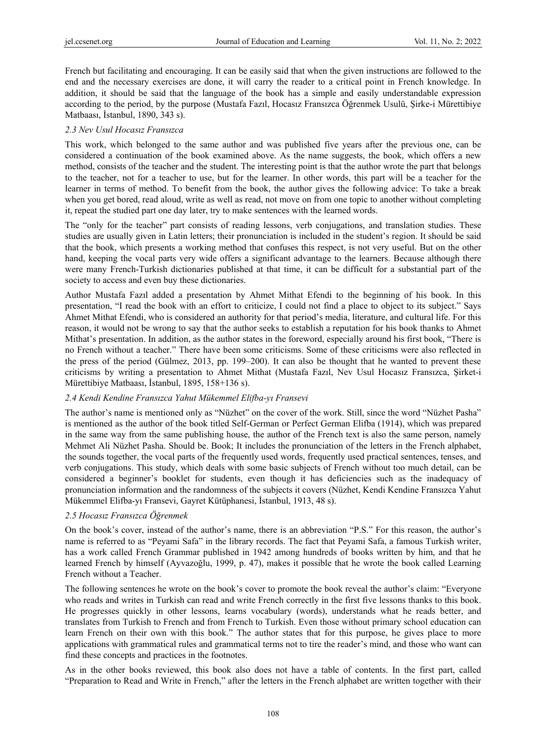French but facilitating and encouraging. It can be easily said that when the given instructions are followed to the end and the necessary exercises are done, it will carry the reader to a critical point in French knowledge. In addition, it should be said that the language of the book has a simple and easily understandable expression according to the period, by the purpose (Mustafa Fazıl, Hocasız Fransızca Öğrenmek Usulü, Şirke-i Mürettibiye Matbaası, İstanbul, 1890, 343 s).

### *2.3 Nev Usul Hocasız Fransızca*

This work, which belonged to the same author and was published five years after the previous one, can be considered a continuation of the book examined above. As the name suggests, the book, which offers a new method, consists of the teacher and the student. The interesting point is that the author wrote the part that belongs to the teacher, not for a teacher to use, but for the learner. In other words, this part will be a teacher for the learner in terms of method. To benefit from the book, the author gives the following advice: To take a break when you get bored, read aloud, write as well as read, not move on from one topic to another without completing it, repeat the studied part one day later, try to make sentences with the learned words.

The "only for the teacher" part consists of reading lessons, verb conjugations, and translation studies. These studies are usually given in Latin letters; their pronunciation is included in the student's region. It should be said that the book, which presents a working method that confuses this respect, is not very useful. But on the other hand, keeping the vocal parts very wide offers a significant advantage to the learners. Because although there were many French-Turkish dictionaries published at that time, it can be difficult for a substantial part of the society to access and even buy these dictionaries.

Author Mustafa Fazıl added a presentation by Ahmet Mithat Efendi to the beginning of his book. In this presentation, "I read the book with an effort to criticize, I could not find a place to object to its subject." Says Ahmet Mithat Efendi, who is considered an authority for that period's media, literature, and cultural life. For this reason, it would not be wrong to say that the author seeks to establish a reputation for his book thanks to Ahmet Mithat's presentation. In addition, as the author states in the foreword, especially around his first book, "There is no French without a teacher." There have been some criticisms. Some of these criticisms were also reflected in the press of the period (Gülmez, 2013, pp. 199–200). It can also be thought that he wanted to prevent these criticisms by writing a presentation to Ahmet Mithat (Mustafa Fazıl, Nev Usul Hocasız Fransızca, Şirket-i Mürettibiye Matbaası, İstanbul, 1895, 158+136 s).

#### *2.4 Kendi Kendine Fransızca Yahut Mükemmel Elifba-yı Fransevi*

The author's name is mentioned only as "Nüzhet" on the cover of the work. Still, since the word "Nüzhet Pasha" is mentioned as the author of the book titled Self-German or Perfect German Elifba (1914), which was prepared in the same way from the same publishing house, the author of the French text is also the same person, namely Mehmet Ali Nüzhet Pasha. Should be. Book; It includes the pronunciation of the letters in the French alphabet, the sounds together, the vocal parts of the frequently used words, frequently used practical sentences, tenses, and verb conjugations. This study, which deals with some basic subjects of French without too much detail, can be considered a beginner's booklet for students, even though it has deficiencies such as the inadequacy of pronunciation information and the randomness of the subjects it covers (Nüzhet, Kendi Kendine Fransızca Yahut Mükemmel Elifba-yı Fransevi, Gayret Kütüphanesi, İstanbul, 1913, 48 s).

# *2.5 Hocasız Fransızca Öğrenmek*

On the book's cover, instead of the author's name, there is an abbreviation "P.S." For this reason, the author's name is referred to as "Peyami Safa" in the library records. The fact that Peyami Safa, a famous Turkish writer, has a work called French Grammar published in 1942 among hundreds of books written by him, and that he learned French by himself (Ayvazoğlu, 1999, p. 47), makes it possible that he wrote the book called Learning French without a Teacher.

The following sentences he wrote on the book's cover to promote the book reveal the author's claim: "Everyone who reads and writes in Turkish can read and write French correctly in the first five lessons thanks to this book. He progresses quickly in other lessons, learns vocabulary (words), understands what he reads better, and translates from Turkish to French and from French to Turkish. Even those without primary school education can learn French on their own with this book." The author states that for this purpose, he gives place to more applications with grammatical rules and grammatical terms not to tire the reader's mind, and those who want can find these concepts and practices in the footnotes.

As in the other books reviewed, this book also does not have a table of contents. In the first part, called "Preparation to Read and Write in French," after the letters in the French alphabet are written together with their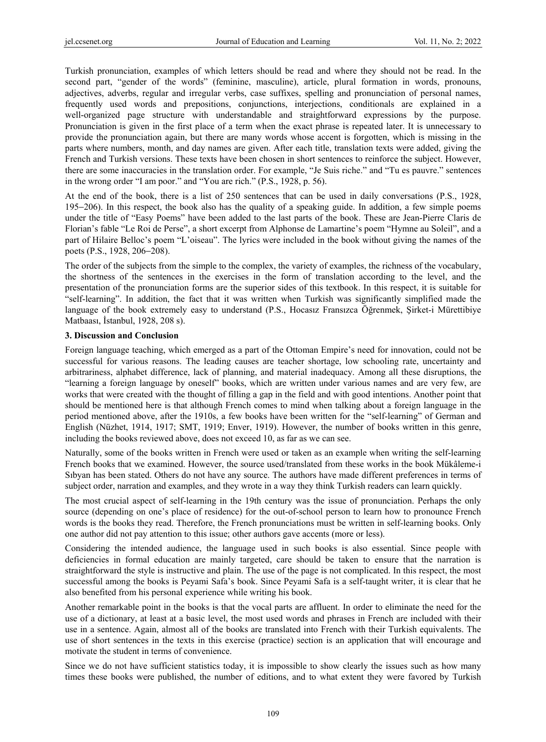Turkish pronunciation, examples of which letters should be read and where they should not be read. In the second part, "gender of the words" (feminine, masculine), article, plural formation in words, pronouns, adjectives, adverbs, regular and irregular verbs, case suffixes, spelling and pronunciation of personal names, frequently used words and prepositions, conjunctions, interjections, conditionals are explained in a well-organized page structure with understandable and straightforward expressions by the purpose. Pronunciation is given in the first place of a term when the exact phrase is repeated later. It is unnecessary to provide the pronunciation again, but there are many words whose accent is forgotten, which is missing in the parts where numbers, month, and day names are given. After each title, translation texts were added, giving the French and Turkish versions. These texts have been chosen in short sentences to reinforce the subject. However, there are some inaccuracies in the translation order. For example, "Je Suis riche." and "Tu es pauvre." sentences in the wrong order "I am poor." and "You are rich." (P.S., 1928, p. 56).

At the end of the book, there is a list of 250 sentences that can be used in daily conversations (P.S., 1928, 195−206). In this respect, the book also has the quality of a speaking guide. In addition, a few simple poems under the title of "Easy Poems" have been added to the last parts of the book. These are Jean-Pierre Claris de Florian's fable "Le Roi de Perse", a short excerpt from Alphonse de Lamartine's poem "Hymne au Soleil", and a part of Hilaire Belloc's poem "L'oiseau". The lyrics were included in the book without giving the names of the poets (P.S., 1928, 206−208).

The order of the subjects from the simple to the complex, the variety of examples, the richness of the vocabulary, the shortness of the sentences in the exercises in the form of translation according to the level, and the presentation of the pronunciation forms are the superior sides of this textbook. In this respect, it is suitable for "self-learning". In addition, the fact that it was written when Turkish was significantly simplified made the language of the book extremely easy to understand (P.S., Hocasız Fransızca Öğrenmek, Şirket-i Mürettibiye Matbaası, İstanbul, 1928, 208 s).

#### **3. Discussion and Conclusion**

Foreign language teaching, which emerged as a part of the Ottoman Empire's need for innovation, could not be successful for various reasons. The leading causes are teacher shortage, low schooling rate, uncertainty and arbitrariness, alphabet difference, lack of planning, and material inadequacy. Among all these disruptions, the "learning a foreign language by oneself" books, which are written under various names and are very few, are works that were created with the thought of filling a gap in the field and with good intentions. Another point that should be mentioned here is that although French comes to mind when talking about a foreign language in the period mentioned above, after the 1910s, a few books have been written for the "self-learning" of German and English (Nüzhet, 1914, 1917; SMT, 1919; Enver, 1919). However, the number of books written in this genre, including the books reviewed above, does not exceed 10, as far as we can see.

Naturally, some of the books written in French were used or taken as an example when writing the self-learning French books that we examined. However, the source used/translated from these works in the book Mükâleme-i Sıbyan has been stated. Others do not have any source. The authors have made different preferences in terms of subject order, narration and examples, and they wrote in a way they think Turkish readers can learn quickly.

The most crucial aspect of self-learning in the 19th century was the issue of pronunciation. Perhaps the only source (depending on one's place of residence) for the out-of-school person to learn how to pronounce French words is the books they read. Therefore, the French pronunciations must be written in self-learning books. Only one author did not pay attention to this issue; other authors gave accents (more or less).

Considering the intended audience, the language used in such books is also essential. Since people with deficiencies in formal education are mainly targeted, care should be taken to ensure that the narration is straightforward the style is instructive and plain. The use of the page is not complicated. In this respect, the most successful among the books is Peyami Safa's book. Since Peyami Safa is a self-taught writer, it is clear that he also benefited from his personal experience while writing his book.

Another remarkable point in the books is that the vocal parts are affluent. In order to eliminate the need for the use of a dictionary, at least at a basic level, the most used words and phrases in French are included with their use in a sentence. Again, almost all of the books are translated into French with their Turkish equivalents. The use of short sentences in the texts in this exercise (practice) section is an application that will encourage and motivate the student in terms of convenience.

Since we do not have sufficient statistics today, it is impossible to show clearly the issues such as how many times these books were published, the number of editions, and to what extent they were favored by Turkish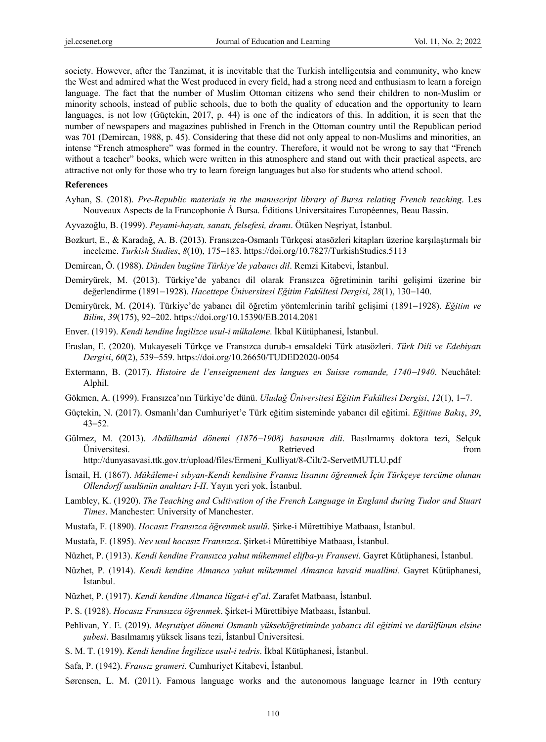society. However, after the Tanzimat, it is inevitable that the Turkish intelligentsia and community, who knew the West and admired what the West produced in every field, had a strong need and enthusiasm to learn a foreign language. The fact that the number of Muslim Ottoman citizens who send their children to non-Muslim or minority schools, instead of public schools, due to both the quality of education and the opportunity to learn languages, is not low (Güçtekin, 2017, p. 44) is one of the indicators of this. In addition, it is seen that the number of newspapers and magazines published in French in the Ottoman country until the Republican period was 701 (Demircan, 1988, p. 45). Considering that these did not only appeal to non-Muslims and minorities, an intense "French atmosphere" was formed in the country. Therefore, it would not be wrong to say that "French without a teacher" books, which were written in this atmosphere and stand out with their practical aspects, are attractive not only for those who try to learn foreign languages but also for students who attend school.

#### **References**

- Ayhan, S. (2018). *Pre-Republic materials in the manuscript library of Bursa relating French teaching*. Les Nouveaux Aspects de la Francophonie Á Bursa. Éditions Universitaires Européennes, Beau Bassin.
- Ayvazoğlu, B. (1999). *Peyami-hayatı, sanatı, felsefesi, dramı*. Ötüken Neşriyat, İstanbul.
- Bozkurt, E., & Karadağ, A. B. (2013). Fransızca-Osmanlı Türkçesi atasözleri kitapları üzerine karşılaştırmalı bir inceleme. *Turkish Studies*, *8*(10), 175−183. https://doi.org/10.7827/TurkishStudies.5113

Demircan, Ö. (1988). *Dünden bugüne Türkiye'de yabancı dil*. Remzi Kitabevi, İstanbul.

- Demiryürek, M. (2013). Türkiye'de yabancı dil olarak Fransızca öğretiminin tarihi gelişimi üzerine bir değerlendirme (1891−1928). *Hacettepe Üniversitesi Eğitim Fakültesi Dergisi*, *28*(1), 130−140.
- Demiryürek, M. (2014). Türkiye'de yabancı dil öğretim yöntemlerinin tarihî gelişimi (1891−1928). *Eğitim ve Bilim*, *39*(175), 92−202. https://doi.org/10.15390/EB.2014.2081
- Enver. (1919). *Kendi kendine İngilizce usul-i mükaleme*. İkbal Kütüphanesi, İstanbul.
- Eraslan, E. (2020). Mukayeseli Türkçe ve Fransızca durub-ı emsaldeki Türk atasözleri. *Türk Dili ve Edebiyatı Dergisi*, *60*(2), 539−559. https://doi.org/10.26650/TUDED2020-0054
- Extermann, B. (2017). *Histoire de l'enseignement des langues en Suisse romande, 1740*−*1940*. Neuchâtel: Alphil.
- Gökmen, A. (1999). Fransızca'nın Türkiye'de dünü. *Uludağ Üniversitesi Eğitim Fakültesi Dergisi*, *12*(1), 1−7.
- Güçtekin, N. (2017). Osmanlı'dan Cumhuriyet'e Türk eğitim sisteminde yabancı dil eğitimi. *Eğitime Bakış*, *39*, 43−52.
- Gülmez, M. (2013). *Abdülhamid dönemi (1876*−*1908) basınının dili*. Basılmamış doktora tezi, Selçuk Üniversitesi. Retrieved from

http://dunyasavasi.ttk.gov.tr/upload/files/Ermeni\_Kulliyat/8-Cilt/2-ServetMUTLU.pdf

- İsmail, H. (1867). *Mükâleme-i sıbyan-Kendi kendisine Fransız lisanını öğrenmek İçin Türkçeye tercüme olunan Ollendorff usulünün anahtarı I-II*. Yayın yeri yok, İstanbul.
- Lambley, K. (1920). *The Teaching and Cultivation of the French Language in England during Tudor and Stuart Times*. Manchester: University of Manchester.
- Mustafa, F. (1890). *Hocasız Fransızca öğrenmek usulü*. Şirke-i Mürettibiye Matbaası, İstanbul.
- Mustafa, F. (1895). *Nev usul hocasız Fransızca*. Şirket-i Mürettibiye Matbaası, İstanbul.
- Nüzhet, P. (1913). *Kendi kendine Fransızca yahut mükemmel elifba-yı Fransevi*. Gayret Kütüphanesi, İstanbul.
- Nüzhet, P. (1914). *Kendi kendine Almanca yahut mükemmel Almanca kavaid muallimi*. Gayret Kütüphanesi, İstanbul.
- Nüzhet, P. (1917). *Kendi kendine Almanca lügat-i ef'al*. Zarafet Matbaası, İstanbul.
- P. S. (1928). *Hocasız Fransızca öğrenmek*. Şirket-i Mürettibiye Matbaası, İstanbul.
- Pehlivan, Y. E. (2019). *Meşrutiyet dönemi Osmanlı yükseköğretiminde yabancı dil eğitimi ve darülfünun elsine şubesi*. Basılmamış yüksek lisans tezi, İstanbul Üniversitesi.
- S. M. T. (1919). *Kendi kendine İngilizce usul-i tedris*. İkbal Kütüphanesi, İstanbul.
- Safa, P. (1942). *Fransız grameri*. Cumhuriyet Kitabevi, İstanbul.
- Sørensen, L. M. (2011). Famous language works and the autonomous language learner in 19th century